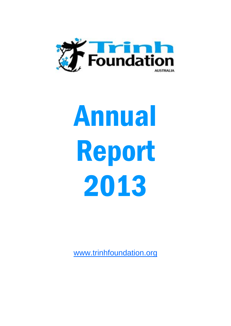

# Annual Report 2013

www.trinhfoundation.org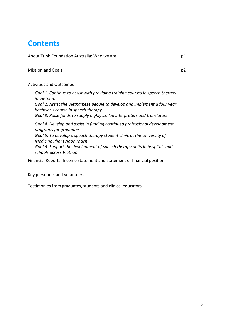# **Contents**

About Trinh Foundation Australia: Who we are **part in the set of the set of the set of the set of the set of the set of the set of the set of the set of the set of the set of the set of the set of the set of the set of the** 

Mission and Goals p2

Activities and Outcomes

*Goal 1. Continue to assist with providing training courses in speech therapy in Vietnam Goal 2. Assist the Vietnamese people to develop and implement a four year bachelor's course in speech therapy Goal 3. Raise funds to supply highly skilled interpreters and translators*

*Goal 4. Develop and assist in funding continued professional development programs for graduates Goal 5. To develop a speech therapy student clinic at the University of Medicine Pham Ngoc Thach Goal 6. Support the development of speech therapy units in hospitals and schools across Vietnam*

Financial Reports: Income statement and statement of financial position

Key personnel and volunteers

Testimonies from graduates, students and clinical educators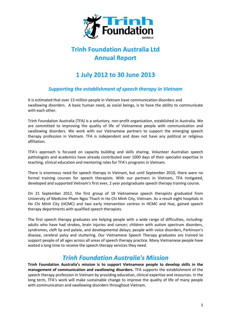

# **Trinh Foundation Australia Ltd Annual Report**

## **1 July 2012 to 30 June 2013**

## *Supporting the establishment of speech therapy in Vietnam*

It is estimated that over 13 million people in Vietnam have communication disorders and swallowing disorders. A basic human need, as social beings, is to have the ability to communicate with each other.

Trinh Foundation Australia (TFA) is a voluntary, non-profit organisation, established in Australia. We are committed to improving the quality of life of Vietnamese people with communication and swallowing disorders. We work with our Vietnamese partners to support the emerging speech therapy profession in Vietnam. TFA is independent and does not have any political or religious affiliation.

TFA's approach is focused on capacity building and skills sharing. Volunteer Australian speech pathologists and academics have already contributed over 1000 days of their specialist expertise in teaching, clinical education and mentoring roles for TFA's programs in Vietnam.

There is enormous need for speech therapy in Vietnam, but until September 2010, there were no formal training courses for speech therapists. With our partners in Vietnam, TFA instigated, developed and supported Vietnam's first ever, 2 year postgraduate speech therapy training course.

On 21 September 2012, the first group of 18 Vietnamese speech therapists graduated from University of Medicine Pham Ngoc Thach in Ho Chi Minh City, Vietnam. As a result eight hospitals in Ho Chi Minh City (HCMC) and two early intervention centres in HCMC and Hue, gained speech therapy departments with qualified speech therapists.

The first speech therapy graduates are helping people with a wide range of difficulties, including: adults who have had strokes, brain injuries and cancer; children with autism spectrum disorders, syndromes, cleft lip and palate, and developmental delays; people with voice disorders, Parkinson's disease, cerebral palsy and stuttering. Our Vietnamese Speech Therapy graduates are trained to support people of all ages across all areas of speech therapy practice. Many Vietnamese people have waited a long time to receive the speech therapy services they need.

## *Trinh Foundation Australia's Mission*

**Trinh Foundation Australia's mission is to support Vietnamese people to develop skills in the management of communication and swallowing disorders.** TFA supports the establishment of the speech therapy profession in Vietnam by providing education, clinical expertise and resources. In the long term, TFA's work will make sustainable change to improve the quality of life of many people with communication and swallowing disorders throughout Vietnam.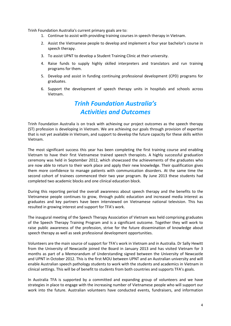Trinh Foundation Australia's current primary goals are to:

- 1. Continue to assist with providing training courses in speech therapy in Vietnam.
- 2. Assist the Vietnamese people to develop and implement a four year bachelor's course in speech therapy.
- 3. To assist UPNT to develop a Student Training Clinic at their university.
- 4. Raise funds to supply highly skilled interpreters and translators and run training programs for them.
- 5. Develop and assist in funding continuing professional development (CPD) programs for graduates.
- 6. Support the development of speech therapy units in hospitals and schools across Vietnam.

## *Trinh Foundation Australia's Activities and Outcomes*

Trinh Foundation Australia is on track with achieving our project outcomes as the speech therapy (ST) profession is developing in Vietnam. We are achieving our goals through provision of expertise that is not yet available in Vietnam, and support to develop the future capacity for these skills within Vietnam.

The most significant success this year has been completing the first training course and enabling Vietnam to have their first Vietnamese trained speech therapists. A highly successful graduation ceremony was held in September 2012, which showcased the achievements of the graduates who are now able to return to their work place and apply their new knowledge. Their qualification gives them more confidence to manage patients with communication disorders. At the same time the second cohort of trainees commenced their two year program. By June 2013 these students had completed two academic blocks and one clinical education block.

During this reporting period the overall awareness about speech therapy and the benefits to the Vietnamese people continues to grow, through public education and increased media interest as graduates and key partners have been interviewed on Vietnamese national television. This has resulted in growing interest and support for TFA's work.

The inaugural meeting of the Speech Therapy Association of Vietnam was held comprising graduates of the Speech Therapy Training Program and is a significant outcome. Together they will work to raise public awareness of the profession, strive for the future dissemination of knowledge about speech therapy as well as seek professional development opportunities.

Volunteers are the main source of support for TFA's work in Vietnam and in Australia. Dr Sally Hewitt from the University of Newcastle joined the Board in January 2013 and has visited Vietnam for 3 months as part of a Memorandum of Understanding signed between the University of Newcastle and UPNT in October 2012. This is the first MOU between UPNT and an Australian university and will enable Australian speech pathology students to work with the students and academics in Vietnam in clinical settings. This will be of benefit to students from both countries and supports TFA's goals.

In Australia TFA is supported by a committed and expanding group of volunteers and we have strategies in place to engage with the increasing number of Vietnamese people who will support our work into the future. Australian volunteers have conducted events, fundraisers, and information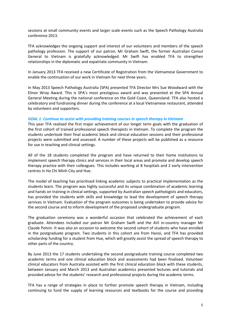sessions at small community events and larger scale events such as the Speech Pathology Australia conference 2013.

TFA acknowledges the ongoing support and interest of our volunteers and members of the speech pathology profession. The support of our patron, Mr Graham Swift, the former Australian Consul General to Vietnam is gratefully acknowledged. Mr Swift has enabled TFA to strengthen relationships in the diplomatic and expatriate community in Vietnam.

In January 2013 TFA received a new Certificate of Registration from the Vietnamese Government to enable the continuation of our work in Vietnam for next three years.

In May 2013 Speech Pathology Australia (SPA) presented TFA Director Mrs Sue Woodward with the Elinor Wray Award. This is SPA's most prestigious award and was presented at the SPA Annual General Meeting during the national conference on the Gold Coast, Queensland. TFA also hosted a celebratory and fundraising dinner during the conference at a local Vietnamese restaurant, attended by volunteers and supporters.

#### *GOAL 1: Continue to assist with providing training courses in speech therapy in Vietnam*

This year TFA realised the first major achievement of our longer term goals with the graduation of the first cohort of trained professional speech therapists in Vietnam. To complete the program the students undertook their final academic block and clinical education sessions and their professional projects were submitted and assessed. A number of these projects will be published as a resource for use in teaching and clinical settings.

All of the 18 students completed the program and have returned to their home institutions to implement speech therapy clinics and services in their local areas and promote and develop speech therapy practice with their colleagues. This includes working at 8 hospitals and 2 early intervention centres in Ho Chi Minh City and Hue.

The model of teaching has prioritised linking academic subjects to practical implementation as the students learn. The program was highly successful and its unique combination of academic learning and hands on training in clinical settings, supported by Australian speech pathologists and educators, has provided the students with skills and knowledge to lead the development of speech therapy services in Vietnam. Evaluation of the program outcomes is being undertaken to provide advice for the second course and to inform development of the proposed undergraduate program.

The graduation ceremony was a wonderful occasion that celebrated the achievement of each graduate. Attendees included our patron Mr Graham Swift and the AVI in-country manager Mr Claude Potvin. It was also an occasion to welcome the second cohort of students who have enrolled in the postgraduate program. Two students in this cohort are from Hanoi, and TFA has provided scholarship funding for a student from Hue, which will greatly assist the spread of speech therapy to other parts of the country.

By June 2013 the 17 students undertaking the second postgraduate training course completed two academic terms and one clinical education block and assessments had been finalised. Volunteer clinical educators from Australia assisted with the first clinical education block with these students, between January and March 2013 and Australian academics presented lectures and tutorials and provided advice for the students' research and professional projects during the academic terms.

TFA has a range of strategies in place to further promote speech therapy in Vietnam, including continuing to fund the supply of learning resources and textbooks for the course and providing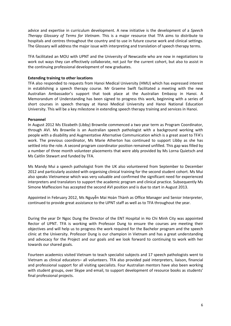advice and expertise in curriculum development. A new initiative is the development of a *Speech Therapy Glossary of Terms for Vietnam*. This is a major resource that TFA aims to distribute to hospitals and centres throughout the country and to use in future course work and clinical settings. The Glossary will address the major issue with interpreting and translation of speech therapy terms.

TFA facilitated an MOU with UPNT and the University of Newcastle who are now in negotiations to work out ways they can effectively collaborate, not just for the current cohort, but also to assist in the continuing professional development of new graduates.

#### **Extending training to other locations**

TFA also responded to requests from Hanoi Medical University (HMU) which has expressed interest in establishing a speech therapy course. Mr Graeme Swift facilitated a meeting with the new Australian Ambassador's support that took place at the Australian Embassy in Hanoi. A Memorandum of Understanding has been signed to progress this work, beginning with a series of short courses in speech therapy at Hanoi Medical University and Hanoi National Education University. This will be a key milestone in extending speech therapy training and services in Hanoi.

#### **Personnel**

In August 2012 Ms Elizabeth (Libby) Brownlie commenced a two year term as Program Coordinator, through AVI. Ms Brownlie is an Australian speech pathologist with a background working with people with a disability and Augmentative Alternative Communication which is a great asset to TFA's work. The previous coordinator, Ms Marie Atherton has continued to support Libby as she has settled into the role. A second program coordinator position remained unfilled. This gap was filled by a number of three month volunteer placements that were ably provided by Ms Lorna Quietsch and Ms Caitlin Stewart and funded by TFA.

Ms Mandy Mui a speech pathologist from the UK also volunteered from September to December 2012 and particularly assisted with organising clinical training for the second student cohort. Ms Mui also speaks Vietnamese which was very valuable and confirmed the significant need for experienced interpreters and translators to support the academic program and clinical practice. Subsequently Ms Simone Maffescioni has accepted the second AVI position and is due to start in August 2013.

Appointed in February 2012, Ms Nguyễn Mai Hoàn Thành as Office Manager and Senior Interpreter, continued to provide great assistance to the UPNT staff as well as to TFA throughout the year.

During the year Dr Ngoc Dung the Director of the ENT Hospital in Ho Chi Minh City was appointed Rector of UPNT. TFA is working with Professor Dung to ensure the courses are meeting their objectives and will help us to progress the work required for the Bachelor program and the speech clinic at the University. Professor Dung is our champion in Vietnam and has a great understanding and advocacy for the Project and our goals and we look forward to continuing to work with her towards our shared goals.

Fourteen academics visited Vietnam to teach specialist subjects and 17 speech pathologists went to Vietnam as clinical educators– all volunteers. TFA also provided paid interpreters, liaison, financial and professional support for all visiting specialists. Four Australian mentors have also been working with student groups, over Skype and email, to support development of resource books as students' final professional projects.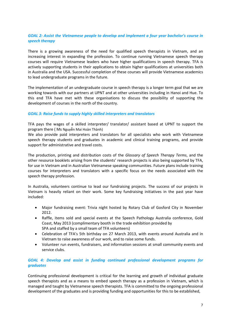#### *GOAL 2: Assist the Vietnamese people to develop and implement a four year bachelor's course in speech therapy*

There is a growing awareness of the need for qualified speech therapists in Vietnam, and an increasing interest in expanding the profession. To continue running Vietnamese speech therapy courses will require Vietnamese leaders who have higher qualifications in speech therapy. TFA is actively supporting students in their applications to obtain higher qualifications at universities both in Australia and the USA. Successful completion of these courses will provide Vietnamese academics to lead undergraduate programs in the future.

The implementation of an undergraduate course in speech therapy is a longer term goal that we are working towards with our partners at UPNT and at other universities including in Hanoi and Hue. To this end TFA have met with these organisations to discuss the possibility of supporting the development of courses in the north of the country.

#### *GOAL 3: Raise funds to supply highly skilled interpreters and translators*

TFA pays the wages of a skilled interpreter/ translator/ assistant based at UPNT to support the program there ( Ms Nguyễn Mai Hoàn Thành)

We also provide paid interpreters and translators for all specialists who work with Vietnamese speech therapy students and graduates in academic and clinical training programs, and provide support for administrative and travel costs.

The production, printing and distribution costs of the *Glossary of Speech Therapy Terms*, and the other resource booklets arising from the students' research projects is also being supported by TFA, for use in Vietnam and in Australian Vietnamese speaking communities. Future plans include training courses for interpreters and translators with a specific focus on the needs associated with the speech therapy profession.

In Australia, volunteers continue to lead our fundraising projects. The success of our projects in Vietnam is heavily reliant on their work. Some key fundraising initiatives in the past year have included:

- Major fundraising event: Trivia night hosted by Rotary Club of Gosford City in November 2012.
- Raffle, items sold and special events at the Speech Pathology Australia conference, Gold Coast, May 2013 (complimentary booth in the trade exhibition provided by SPA and staffed by a small team of TFA volunteers)
- Celebration of TFA's 5th birthday on 27 March 2013, with events around Australia and in Vietnam to raise awareness of our work, and to raise some funds.
- Volunteer run events, fundraisers, and information sessions at small community events and service clubs.

#### *GOAL 4: Develop and assist in funding continued professional development programs for graduates*

Continuing professional development is critical for the learning and growth of individual graduate speech therapists and as a means to embed speech therapy as a profession in Vietnam, which is managed and taught by Vietnamese speech therapists. TFA is committed to the ongoing professional development of the graduates and is providing funding and opportunities for this to be established,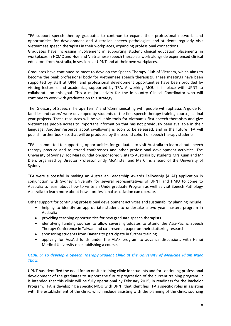TFA support speech therapy graduates to continue to expand their professional networks and opportunities for development and Australian speech pathologists and students regularly visit Vietnamese speech therapists in their workplaces, expanding professional connections.

Graduates have increasing involvement in supporting student clinical education placements in workplaces in HCMC and Hue and Vietnamese speech therapists work alongside experienced clinical educators from Australia, in sessions at UPNT and at their own workplaces.

Graduates have continued to meet to develop the Speech Therapy Club of Vietnam, which aims to become the peak professional body for Vietnamese speech therapists. These meetings have been supported by staff at UPNT and professional development opportunities have been provided by visiting lecturers and academics, supported by TFA. A working MOU is in place with UPNT to collaborate on this goal. This a major activity for the in-country Clinical Coordinator who will continue to work with graduates on this strategy.

The 'Glossary of Speech Therapy Terms' and 'Communicating with people with aphasia: A guide for families and carers' were developed by students of the first speech therapy training course, as final year projects. These resources will be valuable tools for Vietnam's first speech therapists and give Vietnamese people access to important information that has not previously been available in their language. Another resource about swallowing is soon to be released, and in the future TFA will publish further booklets that will be produced by the second cohort of speech therapy students.

TFA is committed to supporting opportunities for graduates to visit Australia to learn about speech therapy practice and to attend conferences and other professional development activities. The University of Sydney Hoc Mai Foundation-sponsored visits to Australia by students Mrs Xuan and Mr Dien, organised by Director Professor Lindy McAllister and Ms Chris Sheard of the University of Sydney.

TFA were successful in making an Australian Leadership Awards Fellowship (ALAF) application in conjunction with Sydney University for several representatives of UPNT and HMU to come to Australia to learn about how to write an Undergraduate Program as well as visit Speech Pathology Australia to learn more about how a professional association can operate.

Other support for continuing professional development activities and sustainability planning include:

- helping to identify an appropriate student to undertake a two year masters program in Australia
- providing teaching opportunities for new graduate speech therapists
- identifying funding sources to allow several graduates to attend the Asia-Pacific Speech Therapy Conference in Taiwan and co-present a paper on their stuttering research
- sponsoring students from Danang to participate in further training
- applying for AusAid funds under the ALAF program to advance discussions with Hanoi Medical University on establishing a course.

#### *GOAL 5: To develop a Speech Therapy Student Clinic at the University of Medicine Pham Ngoc Thach*

UPNT has identified the need for an onsite training clinic for students and for continuing professional development of the graduates to support the future progression of the current training program. It is intended that this clinic will be fully operational by February 2015, in readiness for the Bachelor Program. TFA is developing a specific MOU with UPNT that identifies TFA's specific roles in assisting with the establishment of the clinic, which include assisting with the planning of the clinic, sourcing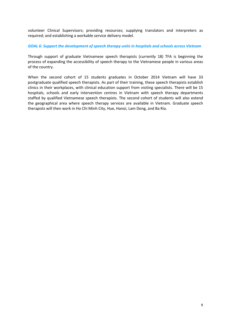volunteer Clinical Supervisors; providing resources; supplying translators and interpreters as required; and establishing a workable service delivery model.

*GOAL 6: Support the development of speech therapy units in hospitals and schools across Vietnam*

Through support of graduate Vietnamese speech therapists (currently 18) TFA is beginning the process of expanding the accessibility of speech therapy to the Vietnamese people in various areas of the country.

When the second cohort of 15 students graduates in October 2014 Vietnam will have 33 postgraduate qualified speech therapists. As part of their training, these speech therapists establish clinics in their workplaces, with clinical education support from visiting specialists. There will be 15 hospitals, schools and early intervention centres in Vietnam with speech therapy departments staffed by qualified Vietnamese speech therapists. The second cohort of students will also extend the geographical area where speech therapy services are available in Vietnam. Graduate speech therapists will then work in Ho Chi Minh City, Hue, Hanoi, Lam Dong, and Ba Ria.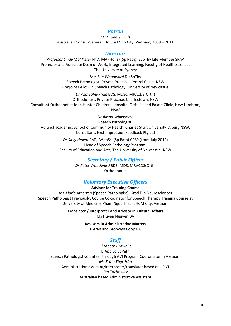#### *Patron*

*Mr Graeme Swift* Australian Consul-General, Ho Chi Minh City, Vietnam, 2009 – 2011

#### *Directors*

*Professor Lindy McAllister* PhD, MA (Hons) (Sp Path), BSpThy Life Member SPAA Professor and Associate Dean of Work, Integrated Learning, Faculty of Health Sciences The University of Sydney

> *Mrs Sue Woodward* DipSpThy Speech Pathologist, Private Practice, Central Coast, NSW Conjoint Fellow in Speech Pathology, University of Newcastle

*Dr Aziz Sahu-Khan* BDS, MDSc, MRACDS(Orth) Orthodontist, Private Practice, Charlestown, NSW Consultant Orthodontist John Hunter Children's Hospital Cleft Lip and Palate Clinic, New Lambton, NSW

*Dr Alison Winkworth* Speech Pathologist. Adjunct academic, School of Community Health, Charles Sturt University, Albury NSW. Consultant, First Impression Feedback Pty Ltd

> *Dr Sally Hewat* PhD, BAppSci (Sp Path) CPSP (from July 2012) Head of Speech Pathology Program, Faculty of Education and Arts, The University of Newcastle, NSW

#### *Secretary / Public Officer*

*Dr Peter Woodward* BDS, MDS, MRACDS(Orth) Orthodontist

#### *Voluntary Executive Officers*

**Advisor for Training Course**

*Ms Marie Atherton* (Speech Pathologist), Grad Dip Neurosciences Speech Pathologist Previously: Course Co-odinator for Speech Therapy Training Course at University of Medicine Pham Ngoc Thach, HCM City, Vietnam

> **Translator / Interpreter and Advisor in Cultural Affairs** Ms Huyen Nguyen BA

> > **Advisors in Administrative Matters**

Kieran and Bronwyn Coop BA

## *Staff*

*Elizabeth Brownlie* B.App.Sc.SpPath Speech Pathologist volunteer through AVI Program Coordinator in Vietnam *Ms Trâ`n Thục Hân*  Administration assistant/interpreter/translator based at UPNT *Jan Tochowicz*  Australian based Administrative Assistant